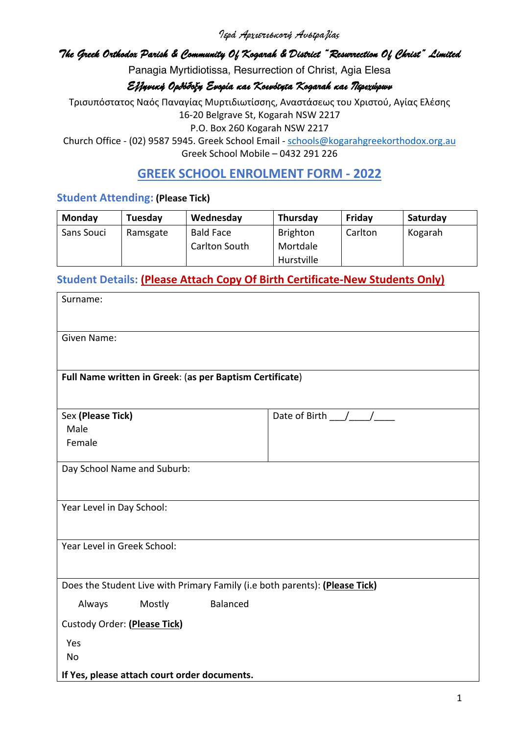Ιερά Αρχιεπισκοπή Αυστραλίας

#### *The Greek Orthodox Parish & Community Of Kogarah & District "Resurrection Of Christ" Limited*

Panagia Myrtidiotissa, Resurrection of Christ, Agia Elesa

#### ΕλληνικήΟρθόδοξηΕνορίακαιΚοινότητα *Kogarah* καιΠεριχώρων

Τρισυπόστατος Ναός Παναγίας Μυρτιδιωτίσσης, Αναστάσεως του Χριστού, Αγίας Ελέσης 16-20 Belgrave St, Kogarah NSW 2217

P.O. Box 260 Kogarah NSW 2217

Church Office - (02) 9587 5945. Greek School Email - schools@kogarahgreekorthodox.org.au Greek School Mobile – 0432 291 226

## **GREEK SCHOOL ENROLMENT FORM - 2022**

#### **Student Attending: (Please Tick)**

| Monday     | Tuesday  | Wednesday        | <b>Thursday</b> | Fridav  | Saturday |
|------------|----------|------------------|-----------------|---------|----------|
| Sans Souci | Ramsgate | <b>Bald Face</b> | <b>Brighton</b> | Carlton | Kogarah  |
|            |          | Carlton South    | Mortdale        |         |          |
|            |          |                  | Hurstville      |         |          |

### **Student Details: (Please Attach Copy Of Birth Certificate-New Students Only)**

| Surname:                                                                    |                   |  |  |  |  |
|-----------------------------------------------------------------------------|-------------------|--|--|--|--|
|                                                                             |                   |  |  |  |  |
| Given Name:                                                                 |                   |  |  |  |  |
| Full Name written in Greek: (as per Baptism Certificate)                    |                   |  |  |  |  |
|                                                                             |                   |  |  |  |  |
| Sex (Please Tick)                                                           | Date of Birth / / |  |  |  |  |
| Male                                                                        |                   |  |  |  |  |
| Female                                                                      |                   |  |  |  |  |
| Day School Name and Suburb:                                                 |                   |  |  |  |  |
|                                                                             |                   |  |  |  |  |
| Year Level in Day School:                                                   |                   |  |  |  |  |
|                                                                             |                   |  |  |  |  |
| Year Level in Greek School:                                                 |                   |  |  |  |  |
|                                                                             |                   |  |  |  |  |
| Does the Student Live with Primary Family (i.e both parents): (Please Tick) |                   |  |  |  |  |
| Balanced<br>Mostly<br>Always                                                |                   |  |  |  |  |
| Custody Order: (Please Tick)                                                |                   |  |  |  |  |
| Yes                                                                         |                   |  |  |  |  |
| <b>No</b>                                                                   |                   |  |  |  |  |
| If Yes, please attach court order documents.                                |                   |  |  |  |  |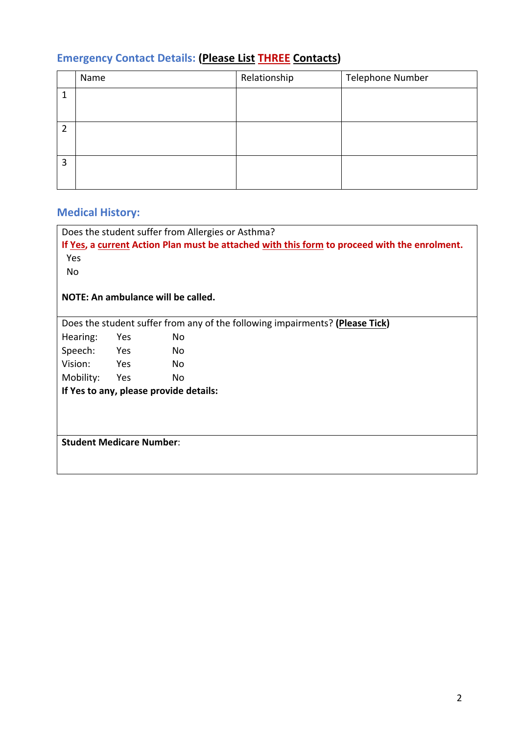# **Emergency Contact Details: (Please List THREE Contacts)**

|                | Name | Relationship | Telephone Number |
|----------------|------|--------------|------------------|
| 1              |      |              |                  |
| $\overline{2}$ |      |              |                  |
| 3              |      |              |                  |

# **Medical History:**

| Does the student suffer from Allergies or Asthma?                                            |              |                                    |                                                                              |
|----------------------------------------------------------------------------------------------|--------------|------------------------------------|------------------------------------------------------------------------------|
| If Yes, a current Action Plan must be attached with this form to proceed with the enrolment. |              |                                    |                                                                              |
| Yes                                                                                          |              |                                    |                                                                              |
| No                                                                                           |              |                                    |                                                                              |
|                                                                                              |              |                                    |                                                                              |
|                                                                                              |              | NOTE: An ambulance will be called. |                                                                              |
|                                                                                              |              |                                    |                                                                              |
|                                                                                              |              |                                    | Does the student suffer from any of the following impairments? (Please Tick) |
| Hearing:                                                                                     | Yes          | No.                                |                                                                              |
| Speech:                                                                                      | <b>Parag</b> | No.                                |                                                                              |
| Vision:                                                                                      | Yes          | No.                                |                                                                              |
| Mobility:                                                                                    | Yes          | No                                 |                                                                              |
| If Yes to any, please provide details:                                                       |              |                                    |                                                                              |
|                                                                                              |              |                                    |                                                                              |
|                                                                                              |              |                                    |                                                                              |
|                                                                                              |              |                                    |                                                                              |
| <b>Student Medicare Number:</b>                                                              |              |                                    |                                                                              |
|                                                                                              |              |                                    |                                                                              |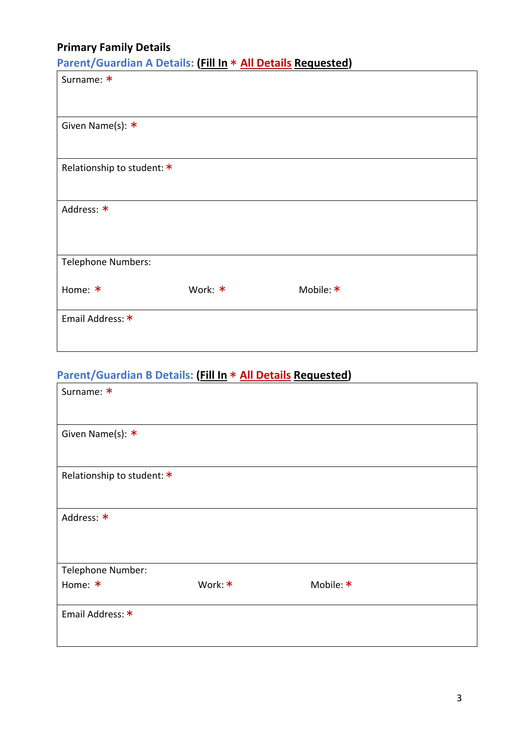# **Primary Family Details**

**Parent/Guardian A Details: (Fill In** \* **All Details Requested)**

| Surname: *                 |         |           |  |
|----------------------------|---------|-----------|--|
|                            |         |           |  |
| Given Name(s): *           |         |           |  |
|                            |         |           |  |
| Relationship to student: * |         |           |  |
|                            |         |           |  |
| Address: *                 |         |           |  |
|                            |         |           |  |
| Telephone Numbers:         |         |           |  |
|                            |         |           |  |
| Home: *                    | Work: * | Mobile: * |  |
| Email Address: *           |         |           |  |
|                            |         |           |  |
|                            |         |           |  |

# **Parent/Guardian B Details: (Fill In** \* **All Details Requested)**

| Surname: *                 |         |           |
|----------------------------|---------|-----------|
|                            |         |           |
| Given Name(s): *           |         |           |
|                            |         |           |
|                            |         |           |
| Relationship to student: * |         |           |
|                            |         |           |
| Address: *                 |         |           |
|                            |         |           |
|                            |         |           |
| Telephone Number:          |         |           |
| Home: *                    | Work: * | Mobile: * |
|                            |         |           |
| Email Address: *           |         |           |
|                            |         |           |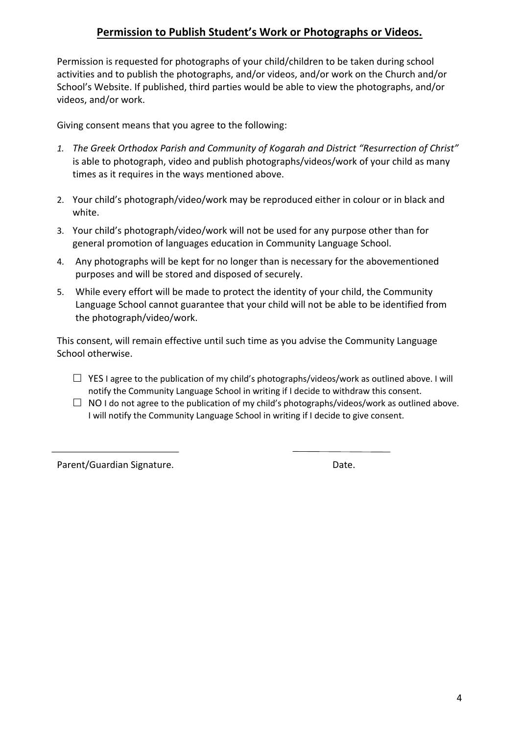### **Permission to Publish Student's Work or Photographs or Videos.**

Permission is requested for photographs of your child/children to be taken during school activities and to publish the photographs, and/or videos, and/or work on the Church and/or School's Website. If published, third parties would be able to view the photographs, and/or videos, and/or work.

Giving consent means that you agree to the following:

- *1. The Greek Orthodox Parish and Community of Kogarah and District "Resurrection of Christ"*  is able to photograph, video and publish photographs/videos/work of your child as many times as it requires in the ways mentioned above.
- 2. Your child's photograph/video/work may be reproduced either in colour or in black and white.
- 3. Your child's photograph/video/work will not be used for any purpose other than for general promotion of languages education in Community Language School.
- 4. Any photographs will be kept for no longer than is necessary for the abovementioned purposes and will be stored and disposed of securely.
- 5. While every effort will be made to protect the identity of your child, the Community Language School cannot guarantee that your child will not be able to be identified from the photograph/video/work.

This consent, will remain effective until such time as you advise the Community Language School otherwise.

- $\Box$  YES I agree to the publication of my child's photographs/videos/work as outlined above. I will notify the Community Language School in writing if I decide to withdraw this consent.
- $\Box$  NO I do not agree to the publication of my child's photographs/videos/work as outlined above. I will notify the Community Language School in writing if I decide to give consent.

Parent/Guardian Signature. **Date.** Date.